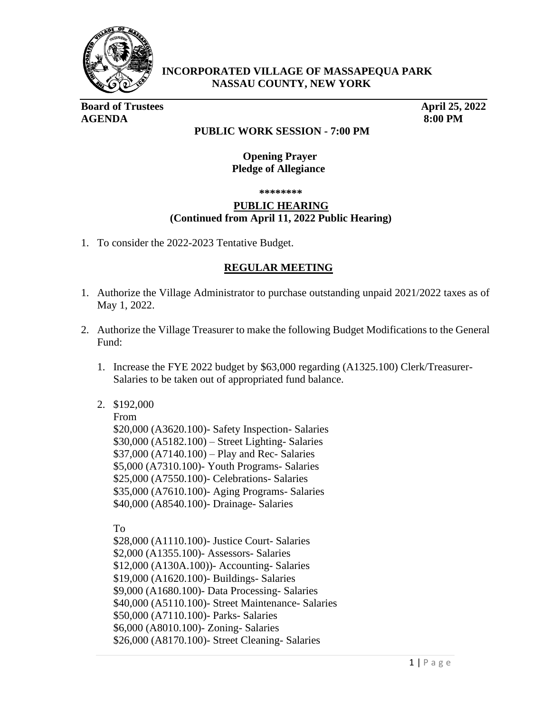

**INCORPORATED VILLAGE OF MASSAPEQUA PARK NASSAU COUNTY, NEW YORK** 

**Board of Trustees** April 25, 2022 **AGENDA 8:00 PM**

## **PUBLIC WORK SESSION - 7:00 PM**

 **Opening Prayer Pledge of Allegiance**

 **\*\*\*\*\*\*\*\***

## **PUBLIC HEARING (Continued from April 11, 2022 Public Hearing)**

1. To consider the 2022-2023 Tentative Budget.

## **REGULAR MEETING**

- 1. Authorize the Village Administrator to purchase outstanding unpaid 2021/2022 taxes as of May 1, 2022.
- 2. Authorize the Village Treasurer to make the following Budget Modifications to the General Fund:
	- 1. Increase the FYE 2022 budget by \$63,000 regarding (A1325.100) Clerk/Treasurer-Salaries to be taken out of appropriated fund balance.

## 2. \$192,000

 From \$20,000 (A3620.100)- Safety Inspection- Salaries \$30,000 (A5182.100) – Street Lighting- Salaries \$37,000 (A7140.100) – Play and Rec- Salaries \$5,000 (A7310.100)- Youth Programs- Salaries \$25,000 (A7550.100)- Celebrations- Salaries \$35,000 (A7610.100)- Aging Programs- Salaries \$40,000 (A8540.100)- Drainage- Salaries

To

 \$28,000 (A1110.100)- Justice Court- Salaries \$2,000 (A1355.100)- Assessors- Salaries \$12,000 (A130A.100))- Accounting- Salaries \$19,000 (A1620.100)- Buildings- Salaries \$9,000 (A1680.100)- Data Processing- Salaries \$40,000 (A5110.100)- Street Maintenance- Salaries \$50,000 (A7110.100)- Parks- Salaries \$6,000 (A8010.100)- Zoning- Salaries \$26,000 (A8170.100)- Street Cleaning- Salaries